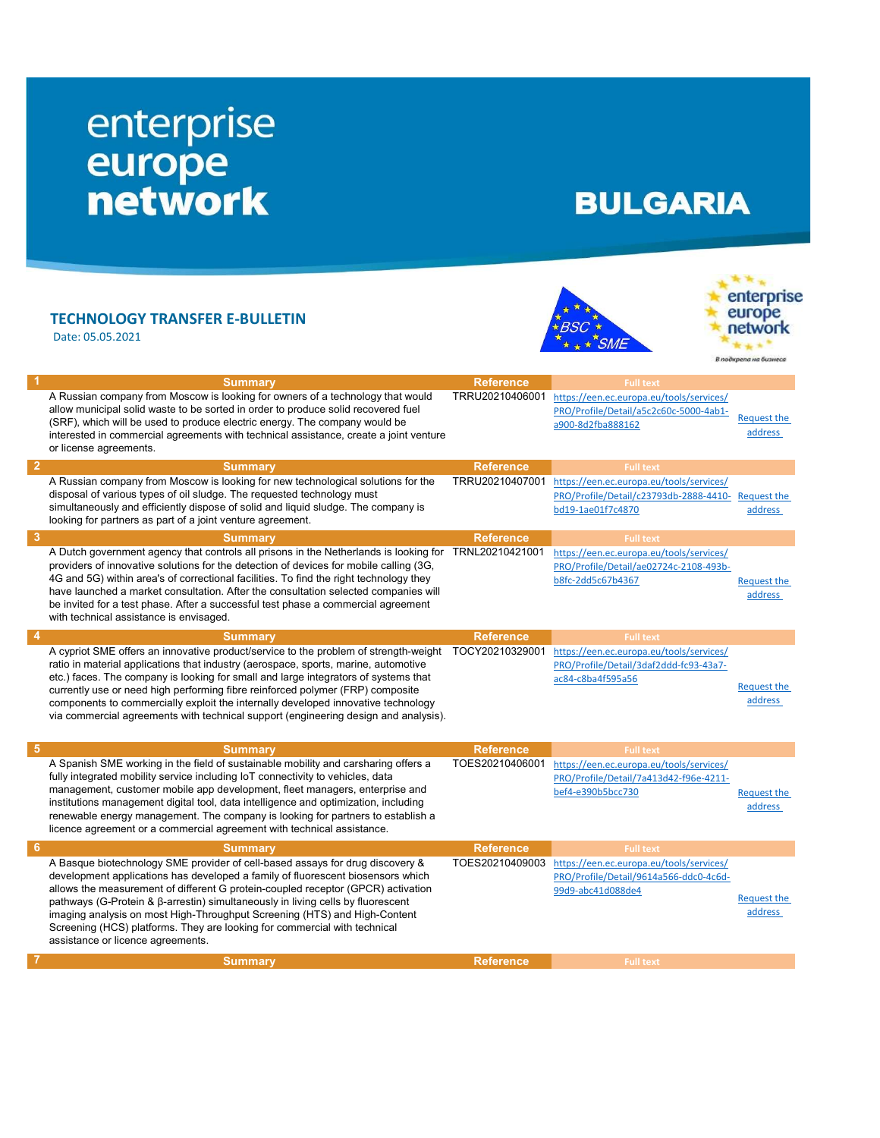## enterprise<br>
europe<br>
network

## **BULGARIA**

## TECHNOLOGY TRANSFER E-BULLETIN

Date: 05.05.2021



enterprise europe<br>network  $k + 1$ В подкрепа на бизнеса

|   | <b>Summary</b>                                                                                                                                                           | <b>Reference</b> | <b>Full text</b>                                             |                    |
|---|--------------------------------------------------------------------------------------------------------------------------------------------------------------------------|------------------|--------------------------------------------------------------|--------------------|
|   | A Russian company from Moscow is looking for owners of a technology that would                                                                                           | TRRU20210406001  | https://een.ec.europa.eu/tools/services/                     |                    |
|   | allow municipal solid waste to be sorted in order to produce solid recovered fuel                                                                                        |                  | PRO/Profile/Detail/a5c2c60c-5000-4ab1-                       | <b>Request the</b> |
|   | (SRF), which will be used to produce electric energy. The company would be                                                                                               |                  | a900-8d2fba888162                                            | address            |
|   | interested in commercial agreements with technical assistance, create a joint venture                                                                                    |                  |                                                              |                    |
|   | or license agreements.                                                                                                                                                   |                  |                                                              |                    |
|   | <b>Summary</b>                                                                                                                                                           | <b>Reference</b> | <b>Full text</b>                                             |                    |
|   | A Russian company from Moscow is looking for new technological solutions for the                                                                                         | TRRU20210407001  | https://een.ec.europa.eu/tools/services/                     |                    |
|   | disposal of various types of oil sludge. The requested technology must                                                                                                   |                  | PRO/Profile/Detail/c23793db-2888-4410-                       | <b>Request the</b> |
|   | simultaneously and efficiently dispose of solid and liquid sludge. The company is                                                                                        |                  | bd19-1ae01f7c4870                                            | address            |
|   | looking for partners as part of a joint venture agreement.                                                                                                               |                  |                                                              |                    |
|   | <b>Summarv</b>                                                                                                                                                           | <b>Reference</b> | <b>Full text</b>                                             |                    |
|   | A Dutch government agency that controls all prisons in the Netherlands is looking for TRNL20210421001                                                                    |                  | https://een.ec.europa.eu/tools/services/                     |                    |
|   | providers of innovative solutions for the detection of devices for mobile calling (3G,                                                                                   |                  | PRO/Profile/Detail/ae02724c-2108-493b-                       |                    |
|   | 4G and 5G) within area's of correctional facilities. To find the right technology they                                                                                   |                  | b8fc-2dd5c67b4367                                            | <b>Request the</b> |
|   | have launched a market consultation. After the consultation selected companies will                                                                                      |                  |                                                              | address            |
|   | be invited for a test phase. After a successful test phase a commercial agreement                                                                                        |                  |                                                              |                    |
|   | with technical assistance is envisaged.                                                                                                                                  |                  |                                                              |                    |
|   | Summary                                                                                                                                                                  | <b>Reference</b> | <b>Full text</b>                                             |                    |
|   | A cypriot SME offers an innovative product/service to the problem of strength-weight                                                                                     | TOCY20210329001  | https://een.ec.europa.eu/tools/services/                     |                    |
|   | ratio in material applications that industry (aerospace, sports, marine, automotive                                                                                      |                  | PRO/Profile/Detail/3daf2ddd-fc93-43a7-                       |                    |
|   | etc.) faces. The company is looking for small and large integrators of systems that                                                                                      |                  | ac84-c8ba4f595a56                                            | <b>Request the</b> |
|   | currently use or need high performing fibre reinforced polymer (FRP) composite                                                                                           |                  |                                                              | address            |
|   | components to commercially exploit the internally developed innovative technology<br>via commercial agreements with technical support (engineering design and analysis). |                  |                                                              |                    |
|   |                                                                                                                                                                          |                  |                                                              |                    |
|   |                                                                                                                                                                          |                  |                                                              |                    |
|   | <b>Summary</b>                                                                                                                                                           | <b>Reference</b> | <b>Full text</b>                                             |                    |
|   | A Spanish SME working in the field of sustainable mobility and carsharing offers a                                                                                       | TOES20210406001  | https://een.ec.europa.eu/tools/services/                     |                    |
|   | fully integrated mobility service including IoT connectivity to vehicles, data                                                                                           |                  | PRO/Profile/Detail/7a413d42-f96e-4211-                       |                    |
|   | management, customer mobile app development, fleet managers, enterprise and<br>institutions management digital tool, data intelligence and optimization, including       |                  | bef4-e390b5bcc730                                            | <b>Request the</b> |
|   | renewable energy management. The company is looking for partners to establish a                                                                                          |                  |                                                              | address            |
|   | licence agreement or a commercial agreement with technical assistance.                                                                                                   |                  |                                                              |                    |
| 6 |                                                                                                                                                                          | <b>Reference</b> |                                                              |                    |
|   | <b>Summary</b><br>A Basque biotechnology SME provider of cell-based assays for drug discovery &                                                                          | TOES20210409003  | <b>Full text</b><br>https://een.ec.europa.eu/tools/services/ |                    |
|   | development applications has developed a family of fluorescent biosensors which                                                                                          |                  | PRO/Profile/Detail/9614a566-ddc0-4c6d-                       |                    |
|   | allows the measurement of different G protein-coupled receptor (GPCR) activation                                                                                         |                  | 99d9-abc41d088de4                                            |                    |
|   | pathways (G-Protein & β-arrestin) simultaneously in living cells by fluorescent                                                                                          |                  |                                                              | <b>Request the</b> |
|   | imaging analysis on most High-Throughput Screening (HTS) and High-Content                                                                                                |                  |                                                              | address            |
|   | Screening (HCS) platforms. They are looking for commercial with technical                                                                                                |                  |                                                              |                    |
|   | assistance or licence agreements.                                                                                                                                        |                  |                                                              |                    |
|   | <b>Summary</b>                                                                                                                                                           | <b>Reference</b> | <b>Full text</b>                                             |                    |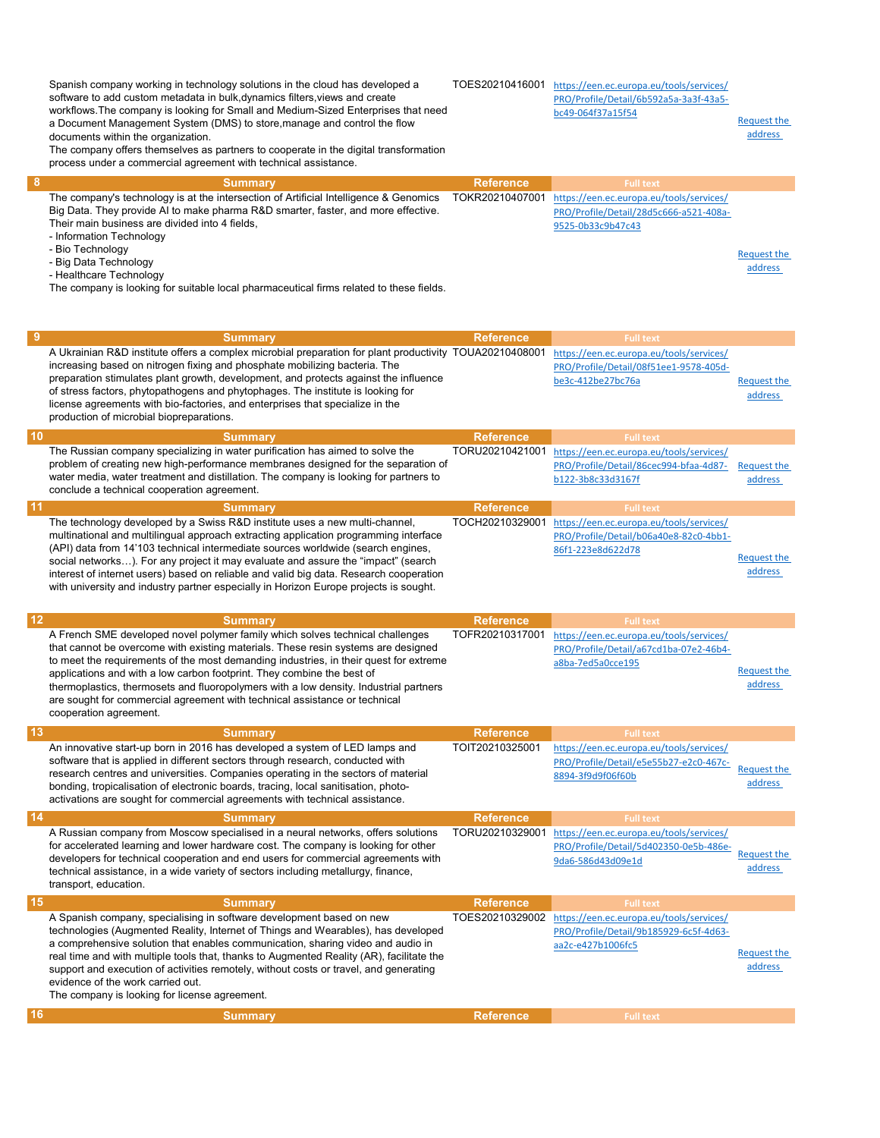Spanish company working in technology solutions in the cloud has developed a software to add custom metadata in bulk,dynamics filters,views and create workflows.The company is looking for Small and Medium-Sized Enterprises that need a Document Management System (DMS) to store,manage and control the flow documents within the organization.

TOES20210416001 https://een.ec.europa.eu/tools/services/ PRO/Profile/Detail/6b592a5a-3a3f-43a5 bc49-064f37a15f54

Request the address

The company offers themselves as partners to cooperate in the digital transformation process under a commercial agreement with technical assistance.

| <b>Summary</b>                                                                          | <b>Reference</b> | <b>Full text</b>                         |             |
|-----------------------------------------------------------------------------------------|------------------|------------------------------------------|-------------|
| The company's technology is at the intersection of Artificial Intelligence & Genomics   | TOKR20210407001  | https://een.ec.europa.eu/tools/services/ |             |
| Big Data. They provide AI to make pharma R&D smarter, faster, and more effective.       |                  | PRO/Profile/Detail/28d5c666-a521-408a-   |             |
| Their main business are divided into 4 fields,                                          |                  | 9525-0b33c9b47c43                        |             |
| - Information Technology                                                                |                  |                                          |             |
| - Bio Technology                                                                        |                  |                                          | Request the |
| - Big Data Technology                                                                   |                  |                                          | address     |
| - Healthcare Technology                                                                 |                  |                                          |             |
| The company is looking for suitable local pharmaceutical firms related to these fields. |                  |                                          |             |
|                                                                                         |                  |                                          |             |

| - 9 | <b>Summary</b>                                                                                                                                                                                                                                                                                                                                                                                                                                                                                                                  | <b>Reference</b> | <b>Full text</b>                                                                                        |                               |
|-----|---------------------------------------------------------------------------------------------------------------------------------------------------------------------------------------------------------------------------------------------------------------------------------------------------------------------------------------------------------------------------------------------------------------------------------------------------------------------------------------------------------------------------------|------------------|---------------------------------------------------------------------------------------------------------|-------------------------------|
|     | A Ukrainian R&D institute offers a complex microbial preparation for plant productivity TOUA20210408001<br>increasing based on nitrogen fixing and phosphate mobilizing bacteria. The<br>preparation stimulates plant growth, development, and protects against the influence<br>of stress factors, phytopathogens and phytophages. The institute is looking for<br>license agreements with bio-factories, and enterprises that specialize in the<br>production of microbial biopreparations.                                   |                  | https://een.ec.europa.eu/tools/services/<br>PRO/Profile/Detail/08f51ee1-9578-405d-<br>be3c-412be27bc76a | <b>Request the</b><br>address |
| 10  | <b>Summary</b>                                                                                                                                                                                                                                                                                                                                                                                                                                                                                                                  | <b>Reference</b> | <b>Full text</b>                                                                                        |                               |
|     | The Russian company specializing in water purification has aimed to solve the<br>problem of creating new high-performance membranes designed for the separation of<br>water media, water treatment and distillation. The company is looking for partners to<br>conclude a technical cooperation agreement.                                                                                                                                                                                                                      | TORU20210421001  | https://een.ec.europa.eu/tools/services/<br>PRO/Profile/Detail/86cec994-bfaa-4d87-<br>b122-3b8c33d3167f | <b>Request the</b><br>address |
| 11  | <b>Summary</b>                                                                                                                                                                                                                                                                                                                                                                                                                                                                                                                  | <b>Reference</b> | <b>Full text</b>                                                                                        |                               |
|     | The technology developed by a Swiss R&D institute uses a new multi-channel,<br>multinational and multilingual approach extracting application programming interface<br>(API) data from 14'103 technical intermediate sources worldwide (search engines,<br>social networks). For any project it may evaluate and assure the "impact" (search<br>interest of internet users) based on reliable and valid big data. Research cooperation<br>with university and industry partner especially in Horizon Europe projects is sought. | TOCH20210329001  | https://een.ec.europa.eu/tools/services/<br>PRO/Profile/Detail/b06a40e8-82c0-4bb1-<br>86f1-223e8d622d78 | <b>Request the</b><br>address |

| 12        | <b>Summary</b>                                                                                                                                                                                                                                                                                                                                                                                                                                                                                                                         | <b>Reference</b> | <b>Full text</b>                                                                                        |                               |
|-----------|----------------------------------------------------------------------------------------------------------------------------------------------------------------------------------------------------------------------------------------------------------------------------------------------------------------------------------------------------------------------------------------------------------------------------------------------------------------------------------------------------------------------------------------|------------------|---------------------------------------------------------------------------------------------------------|-------------------------------|
|           | A French SME developed novel polymer family which solves technical challenges<br>that cannot be overcome with existing materials. These resin systems are designed<br>to meet the requirements of the most demanding industries, in their quest for extreme<br>applications and with a low carbon footprint. They combine the best of<br>thermoplastics, thermosets and fluoropolymers with a low density. Industrial partners<br>are sought for commercial agreement with technical assistance or technical<br>cooperation agreement. | TOFR20210317001  | https://een.ec.europa.eu/tools/services/<br>PRO/Profile/Detail/a67cd1ba-07e2-46b4-<br>a8ba-7ed5a0cce195 | <b>Request the</b><br>address |
| <b>13</b> | <b>Summary</b>                                                                                                                                                                                                                                                                                                                                                                                                                                                                                                                         | <b>Reference</b> | <b>Full text</b>                                                                                        |                               |
|           | An innovative start-up born in 2016 has developed a system of LED lamps and<br>software that is applied in different sectors through research, conducted with<br>research centres and universities. Companies operating in the sectors of material<br>bonding, tropicalisation of electronic boards, tracing, local sanitisation, photo-<br>activations are sought for commercial agreements with technical assistance.                                                                                                                | TOIT20210325001  | https://een.ec.europa.eu/tools/services/<br>PRO/Profile/Detail/e5e55b27-e2c0-467c-<br>8894-3f9d9f06f60b | <b>Request the</b><br>address |
| 14        | <b>Summary</b>                                                                                                                                                                                                                                                                                                                                                                                                                                                                                                                         | <b>Reference</b> | <b>Full text</b>                                                                                        |                               |
|           | A Russian company from Moscow specialised in a neural networks, offers solutions<br>for accelerated learning and lower hardware cost. The company is looking for other<br>developers for technical cooperation and end users for commercial agreements with<br>technical assistance, in a wide variety of sectors including metallurgy, finance,<br>transport, education.                                                                                                                                                              | TORU20210329001  | https://een.ec.europa.eu/tools/services/<br>PRO/Profile/Detail/5d402350-0e5b-486e-<br>9da6-586d43d09e1d | <b>Request the</b><br>address |
| 15        | <b>Summary</b>                                                                                                                                                                                                                                                                                                                                                                                                                                                                                                                         | <b>Reference</b> | <b>Full text</b>                                                                                        |                               |
|           | A Spanish company, specialising in software development based on new<br>technologies (Augmented Reality, Internet of Things and Wearables), has developed<br>a comprehensive solution that enables communication, sharing video and audio in<br>real time and with multiple tools that, thanks to Augmented Reality (AR), facilitate the<br>support and execution of activities remotely, without costs or travel, and generating<br>evidence of the work carried out<br>The company is looking for license agreement.                 | TOES20210329002  | https://een.ec.europa.eu/tools/services/<br>PRO/Profile/Detail/9b185929-6c5f-4d63-<br>aa2c-e427b1006fc5 | <b>Request the</b><br>address |
| 16        | <b>Summary</b>                                                                                                                                                                                                                                                                                                                                                                                                                                                                                                                         | <b>Reference</b> | <b>Full text</b>                                                                                        |                               |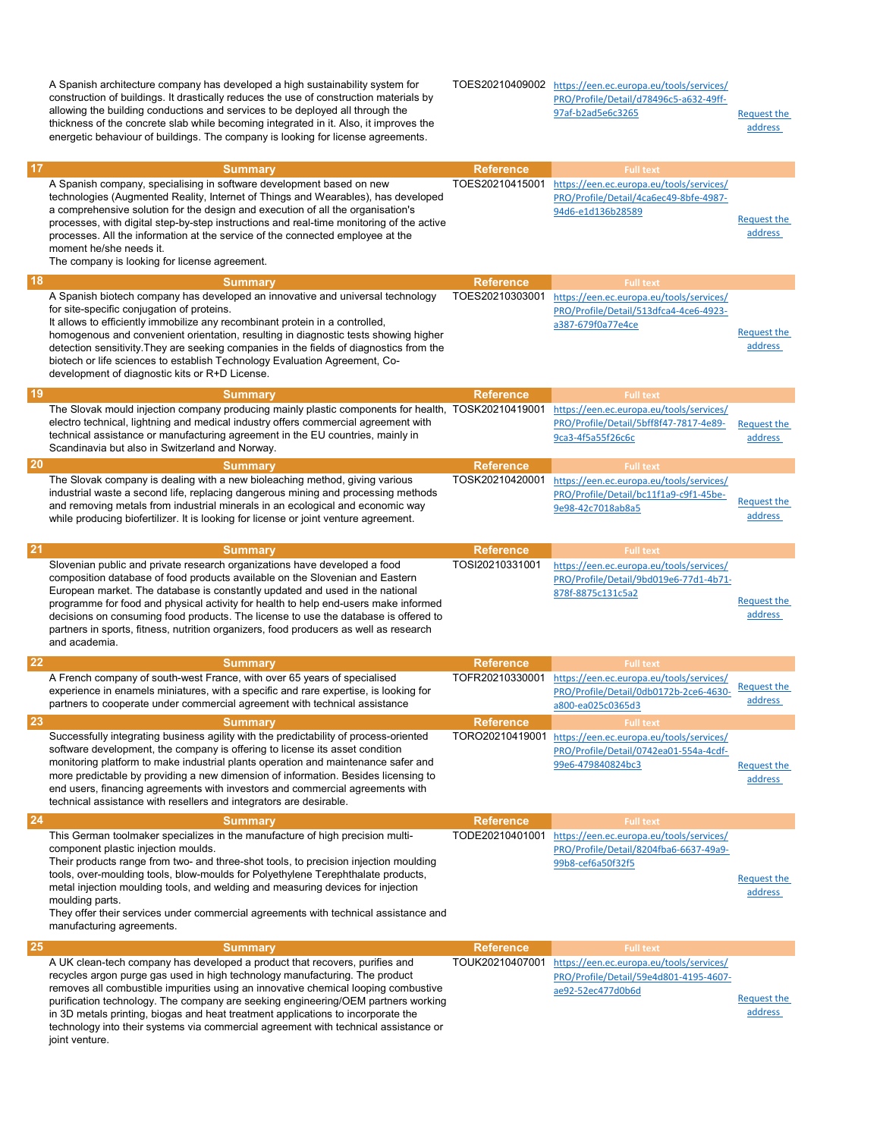A Spanish architecture company has developed a high sustainability system for construction of buildings. It drastically reduces the use of construction materials by allowing the building conductions and services to be deployed all through the thickness of the concrete slab while becoming integrated in it. Also, it improves the energetic behaviour of buildings. The company is looking for license agreements. TOES20210409002 https://een.ec.europa.eu/tools/services/ PRO/Profile/Detail/d78496c5-a632-49ff-97af-b2ad5e6c3265 Request the address 17 Summary Reference Full text Extendion Control of the Reference Full text Equipment Control of the Reference Full text in the Reference of the Reference of the Reference of the Reference of the Reference of the Reference A Spanish company, specialising in software development based on new technologies (Augmented Reality, Internet of Things and Wearables), has developed a comprehensive solution for the design and execution of all the organisation's processes, with digital step-by-step instructions and real-time monitoring of the active processes. All the information at the service of the connected employee at the moment he/she needs it. The company is looking for license agreement. TOES20210415001 https://een.ec.europa.eu/tools/services/ PRO/Profile/Detail/4ca6ec49-8bfe-4987- 94d6-e1d136b28589 Request the address 18 Summary Reference Full text Full text Assembly Reference Full text Assembly Reference A Spanish biotech company has developed an innovative and universal technology for site-specific conjugation of proteins. It allows to efficiently immobilize any recombinant protein in a controlled, homogenous and convenient orientation, resulting in diagnostic tests showing higher detection sensitivity.They are seeking companies in the fields of diagnostics from the biotech or life sciences to establish Technology Evaluation Agreement, Codevelopment of diagnostic kits or R+D License. TOES20210303001 https://een.ec.europa.eu/tools/services/ PRO/Profile/Detail/513dfca4-4ce6-4923 a387-679f0a77e4ce Request the address 19 Summary Reference Full text extends the Summary Reference Reference Full text extends the Reference of the Multi-The Slovak mould injection company producing mainly plastic components for health, TOSK20210419001 https://een.ec.europa.eu/tools/services/ electro technical, lightning and medical industry offers commercial agreement with technical assistance or manufacturing agreement in the EU countries, mainly in Scandinavia but also in Switzerland and Norway. PRO/Profile/Detail/5bff8f47-7817-4e89- 9ca3-4f5a55f26c6c Request the address 20 Summary Reference Full text Full text And The Summary Reference Reference Full text The Slovak company is dealing with a new bioleaching method, giving various industrial waste a second life, replacing dangerous mining and processing methods and removing metals from industrial minerals in an ecological and economic way while producing biofertilizer. It is looking for license or joint venture agreement. TOSK20210420001 https://een.ec.europa.eu/tools/services/ PRO/Profile/Detail/bc11f1a9-c9f1-45be-Request the Second Separate Corp. Request the address 21 Summary Reference Full text Full text And The Summary Reference Full text And The Summary Reference Full text Slovenian public and private research organizations have developed a food composition database of food products available on the Slovenian and Eastern European market. The database is constantly updated and used in the national programme for food and physical activity for health to help end-users make informed decisions on consuming food products. The license to use the database is offered to partners in sports, fitness, nutrition organizers, food producers as well as research and academia. TOSI20210331001 https://een.ec.europa.eu/tools/services/ PRO/Profile/Detail/9bd019e6-77d1-4b71- 878f-8875c131c5a2 Request the address **22 Summary Reference** Full text Full text **Summary Reference Reference Reference** A French company of south-west France, with over 65 years of specialised experience in enamels miniatures, with a specific and rare expertise, is looking for partners to cooperate under commercial agreement with technical assistance TOFR20210330001 https://een.ec.europa.eu/tools/services/ PRO/Profile/Detail/0db0172b-2ce6-4630 a800-ea025c0365d3 Request the address 23 Summary Reference Full text Full text And The Summary Reference Reference Full text Successfully integrating business agility with the predictability of process-oriented software development, the company is offering to license its asset condition monitoring platform to make industrial plants operation and maintenance safer and more predictable by providing a new dimension of information. Besides licensing to end users, financing agreements with investors and commercial agreements with technical assistance with resellers and integrators are desirable. TORO20210419001 https://een.ec.europa.eu/tools/services/ PRO/Profile/Detail/0742ea01-554a-4cdf-99e6-479840824bc3 Request the address **24** Summary **Summary Reference Reference** Full text This German toolmaker specializes in the manufacture of high precision multicomponent plastic injection moulds. Their products range from two- and three-shot tools, to precision injection moulding tools, over-moulding tools, blow-moulds for Polyethylene Terephthalate products, metal injection moulding tools, and welding and measuring devices for injection moulding parts. They offer their services under commercial agreements with technical assistance and manufacturing agreements. TODE20210401001 https://een.ec.europa.eu/tools/services/ PRO/Profile/Detail/8204fba6-6637-49a9- 99b8-cef6a50f32f5 Request the address **25 Summary Reference Reference** Full text A UK clean-tech company has developed a product that recovers, purifies and recycles argon purge gas used in high technology manufacturing. The product removes all combustible impurities using an innovative chemical looping combustive purification technology. The company are seeking engineering/OEM partners working in 3D metals printing, biogas and heat treatment applications to incorporate the technology into their systems via commercial agreement with technical assistance or joint venture. TOUK20210407001 https://een.ec.europa.eu/tools/services/ PRO/Profile/Detail/59e4d801-4195-4607 ae92-52ec477d0b6d Request the address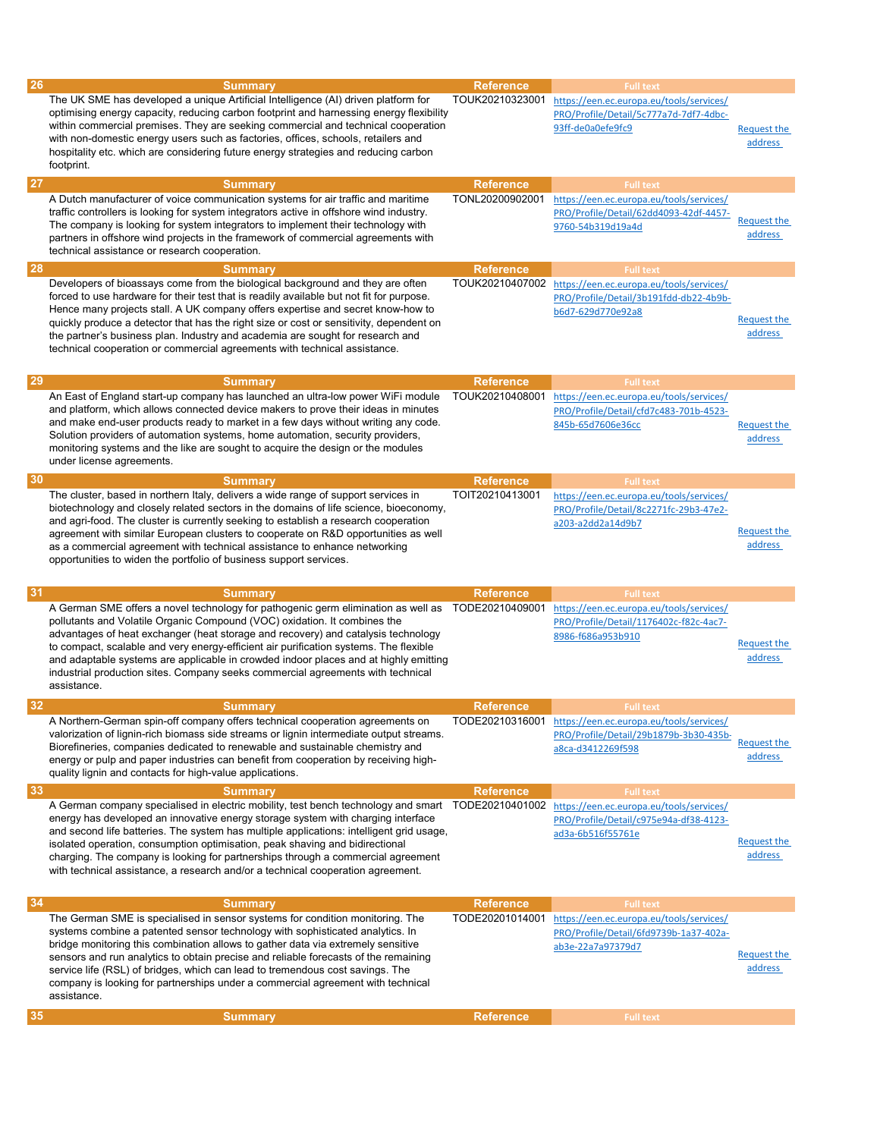| 26        |                                                                                                                                                                                                                                                                                                                                                                                                                                                                                                                                                |                                     |                                                                                                                                             |                               |
|-----------|------------------------------------------------------------------------------------------------------------------------------------------------------------------------------------------------------------------------------------------------------------------------------------------------------------------------------------------------------------------------------------------------------------------------------------------------------------------------------------------------------------------------------------------------|-------------------------------------|---------------------------------------------------------------------------------------------------------------------------------------------|-------------------------------|
|           | <b>Summary</b>                                                                                                                                                                                                                                                                                                                                                                                                                                                                                                                                 | <b>Reference</b>                    | <b>Full text</b>                                                                                                                            |                               |
|           | The UK SME has developed a unique Artificial Intelligence (AI) driven platform for<br>optimising energy capacity, reducing carbon footprint and harnessing energy flexibility<br>within commercial premises. They are seeking commercial and technical cooperation<br>with non-domestic energy users such as factories, offices, schools, retailers and<br>hospitality etc. which are considering future energy strategies and reducing carbon<br>footprint.                                                                                   | TOUK20210323001                     | https://een.ec.europa.eu/tools/services/<br>PRO/Profile/Detail/5c777a7d-7df7-4dbc-<br>93ff-de0a0efe9fc9                                     | <b>Request the</b><br>address |
| <b>27</b> | <b>Summary</b>                                                                                                                                                                                                                                                                                                                                                                                                                                                                                                                                 | <b>Reference</b>                    | <b>Full text</b>                                                                                                                            |                               |
|           | A Dutch manufacturer of voice communication systems for air traffic and maritime<br>traffic controllers is looking for system integrators active in offshore wind industry.<br>The company is looking for system integrators to implement their technology with<br>partners in offshore wind projects in the framework of commercial agreements with<br>technical assistance or research cooperation.                                                                                                                                          | TONL20200902001                     | https://een.ec.europa.eu/tools/services/<br>PRO/Profile/Detail/62dd4093-42df-4457-<br>9760-54b319d19a4d                                     | <b>Request the</b><br>address |
| <b>28</b> |                                                                                                                                                                                                                                                                                                                                                                                                                                                                                                                                                | <b>Reference</b>                    | <b>Full text</b>                                                                                                                            |                               |
|           | <b>Summary</b>                                                                                                                                                                                                                                                                                                                                                                                                                                                                                                                                 |                                     |                                                                                                                                             |                               |
|           | Developers of bioassays come from the biological background and they are often<br>forced to use hardware for their test that is readily available but not fit for purpose.<br>Hence many projects stall. A UK company offers expertise and secret know-how to<br>quickly produce a detector that has the right size or cost or sensitivity, dependent on<br>the partner's business plan. Industry and academia are sought for research and<br>technical cooperation or commercial agreements with technical assistance.                        | TOUK20210407002                     | https://een.ec.europa.eu/tools/services/<br>PRO/Profile/Detail/3b191fdd-db22-4b9b-<br>b6d7-629d770e92a8                                     | <b>Request the</b><br>address |
| 29        | <b>Summary</b>                                                                                                                                                                                                                                                                                                                                                                                                                                                                                                                                 | <b>Reference</b>                    | <b>Full text</b>                                                                                                                            |                               |
| 30        | An East of England start-up company has launched an ultra-low power WiFi module<br>and platform, which allows connected device makers to prove their ideas in minutes<br>and make end-user products ready to market in a few days without writing any code.<br>Solution providers of automation systems, home automation, security providers,<br>monitoring systems and the like are sought to acquire the design or the modules<br>under license agreements.                                                                                  | TOUK20210408001                     | https://een.ec.europa.eu/tools/services/<br>PRO/Profile/Detail/cfd7c483-701b-4523-<br>845b-65d7606e36cc                                     | <b>Request the</b><br>address |
|           | <b>Summary</b>                                                                                                                                                                                                                                                                                                                                                                                                                                                                                                                                 | <b>Reference</b>                    | <b>Full text</b>                                                                                                                            |                               |
|           | The cluster, based in northern Italy, delivers a wide range of support services in<br>biotechnology and closely related sectors in the domains of life science, bioeconomy,<br>and agri-food. The cluster is currently seeking to establish a research cooperation<br>agreement with similar European clusters to cooperate on R&D opportunities as well<br>as a commercial agreement with technical assistance to enhance networking<br>opportunities to widen the portfolio of business support services.                                    | TOIT20210413001                     | https://een.ec.europa.eu/tools/services/<br>PRO/Profile/Detail/8c2271fc-29b3-47e2-<br>a203-a2dd2a14d9b7                                     | <b>Request the</b><br>address |
| 31        | <b>Summary</b>                                                                                                                                                                                                                                                                                                                                                                                                                                                                                                                                 | <b>Reference</b>                    | <b>Full text</b>                                                                                                                            |                               |
|           | A German SME offers a novel technology for pathogenic germ elimination as well as<br>pollutants and Volatile Organic Compound (VOC) oxidation. It combines the                                                                                                                                                                                                                                                                                                                                                                                 |                                     | https://een.ec.europa.eu/tools/services/                                                                                                    |                               |
|           | advantages of heat exchanger (heat storage and recovery) and catalysis technology<br>to compact, scalable and very energy-efficient air purification systems. The flexible<br>and adaptable systems are applicable in crowded indoor places and at highly emitting<br>industrial production sites. Company seeks commercial agreements with technical<br>assistance.                                                                                                                                                                           | TODE20210409001                     | PRO/Profile/Detail/1176402c-f82c-4ac7-<br>8986-f686a953b910                                                                                 | <b>Request the</b><br>address |
| -32       |                                                                                                                                                                                                                                                                                                                                                                                                                                                                                                                                                |                                     |                                                                                                                                             |                               |
|           | <b>Summary</b><br>A Northern-German spin-off company offers technical cooperation agreements on<br>valorization of lignin-rich biomass side streams or lignin intermediate output streams.<br>Biorefineries, companies dedicated to renewable and sustainable chemistry and<br>energy or pulp and paper industries can benefit from cooperation by receiving high-<br>quality lignin and contacts for high-value applications.                                                                                                                 | <b>Reference</b>                    | <b>Full text</b><br>TODE20210316001 https://een.ec.europa.eu/tools/services/<br>PRO/Profile/Detail/29b1879b-3b30-435b-<br>a8ca-d3412269f598 | <b>Request the</b><br>address |
| 33        | <b>Summary</b>                                                                                                                                                                                                                                                                                                                                                                                                                                                                                                                                 | <b>Reference</b>                    | <b>Full text</b>                                                                                                                            |                               |
|           | A German company specialised in electric mobility, test bench technology and smart TODE20210401002<br>energy has developed an innovative energy storage system with charging interface<br>and second life batteries. The system has multiple applications: intelligent grid usage,<br>isolated operation, consumption optimisation, peak shaving and bidirectional<br>charging. The company is looking for partnerships through a commercial agreement<br>with technical assistance, a research and/or a technical cooperation agreement.      |                                     | https://een.ec.europa.eu/tools/services/<br>PRO/Profile/Detail/c975e94a-df38-4123-<br>ad3a-6b516f55761e                                     | <b>Request the</b><br>address |
| 34        |                                                                                                                                                                                                                                                                                                                                                                                                                                                                                                                                                |                                     |                                                                                                                                             |                               |
|           | <b>Summary</b><br>The German SME is specialised in sensor systems for condition monitoring. The<br>systems combine a patented sensor technology with sophisticated analytics. In<br>bridge monitoring this combination allows to gather data via extremely sensitive<br>sensors and run analytics to obtain precise and reliable forecasts of the remaining<br>service life (RSL) of bridges, which can lead to tremendous cost savings. The<br>company is looking for partnerships under a commercial agreement with technical<br>assistance. | <b>Reference</b><br>TODE20201014001 | <b>Full text</b><br>https://een.ec.europa.eu/tools/services/<br>PRO/Profile/Detail/6fd9739b-1a37-402a-<br>ab3e-22a7a97379d7                 | <b>Request the</b><br>address |
| 35        | <b>Summary</b>                                                                                                                                                                                                                                                                                                                                                                                                                                                                                                                                 | <b>Reference</b>                    | <b>Full text</b>                                                                                                                            |                               |